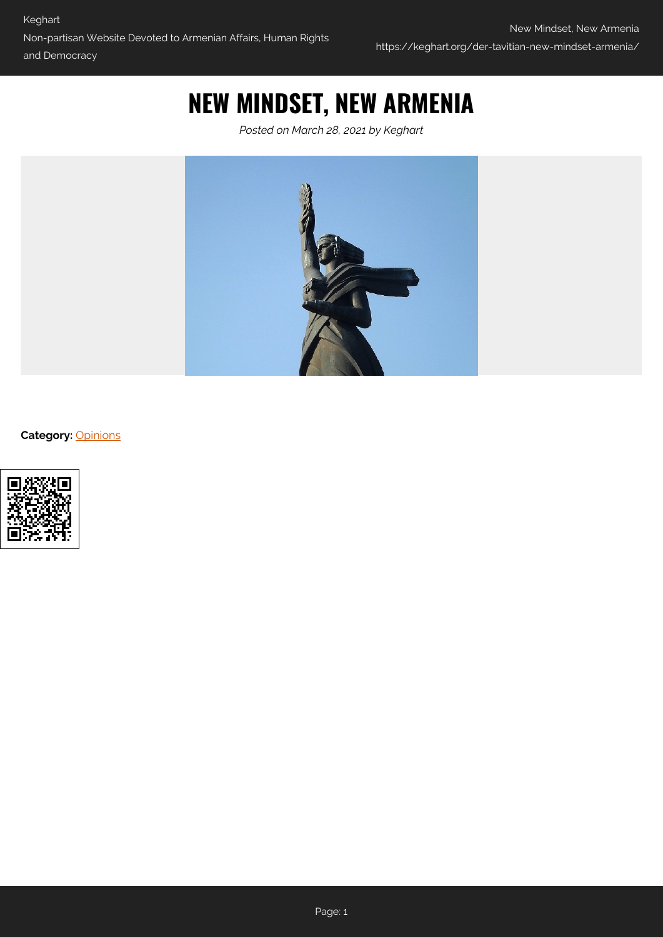# **NEW MINDSET, NEW ARMENIA**

*Posted on March 28, 2021 by Keghart*



**Category:** [Opinions](https://keghart.org/category/opinions/)

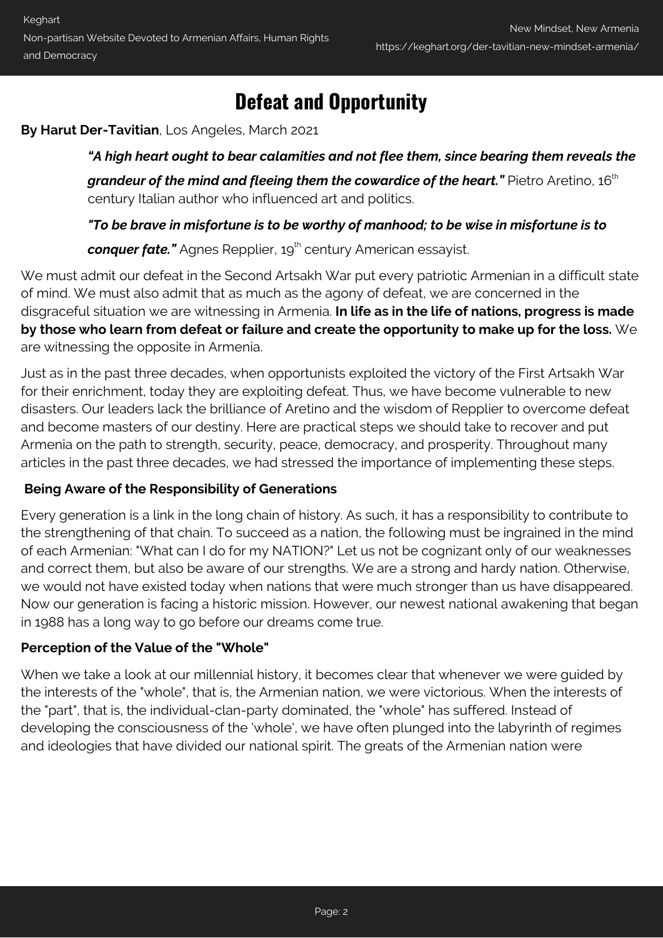### **Defeat and Opportunity**

**By Harut Der-Tavitian**, Los Angeles, March 2021

*"A high heart ought to bear calamities and not flee them, since bearing them reveals the* grandeur of the mind and fleeing them the cowardice of the heart." Pietro Aretino, 16<sup>th</sup> century Italian author who influenced art and politics.

*"To be brave in misfortune is to be worthy of manhood; to be wise in misfortune is to*

**conquer fate."** Agnes Repplier, 19<sup>th</sup> century American essayist.

We must admit our defeat in the Second Artsakh War put every patriotic Armenian in a difficult state of mind. We must also admit that as much as the agony of defeat, we are concerned in the disgraceful situation we are witnessing in Armenia. **In life as in the life of nations, progress is made by those who learn from defeat or failure and create the opportunity to make up for the loss.** We are witnessing the opposite in Armenia.

Just as in the past three decades, when opportunists exploited the victory of the First Artsakh War for their enrichment, today they are exploiting defeat. Thus, we have become vulnerable to new disasters. Our leaders lack the brilliance of Aretino and the wisdom of Repplier to overcome defeat and become masters of our destiny. Here are practical steps we should take to recover and put Armenia on the path to strength, security, peace, democracy, and prosperity. Throughout many articles in the past three decades, we had stressed the importance of implementing these steps.

#### **Being Aware of the Responsibility of Generations**

Every generation is a link in the long chain of history. As such, it has a responsibility to contribute to the strengthening of that chain. To succeed as a nation, the following must be ingrained in the mind of each Armenian: "What can I do for my NATION?" Let us not be cognizant only of our weaknesses and correct them, but also be aware of our strengths. We are a strong and hardy nation. Otherwise, we would not have existed today when nations that were much stronger than us have disappeared. Now our generation is facing a historic mission. However, our newest national awakening that began in 1988 has a long way to go before our dreams come true.

#### **Perception of the Value of the "Whole"**

When we take a look at our millennial history, it becomes clear that whenever we were guided by the interests of the "whole", that is, the Armenian nation, we were victorious. When the interests of the "part", that is, the individual-clan-party dominated, the "whole" has suffered. Instead of developing the consciousness of the 'whole', we have often plunged into the labyrinth of regimes and ideologies that have divided our national spirit. The greats of the Armenian nation were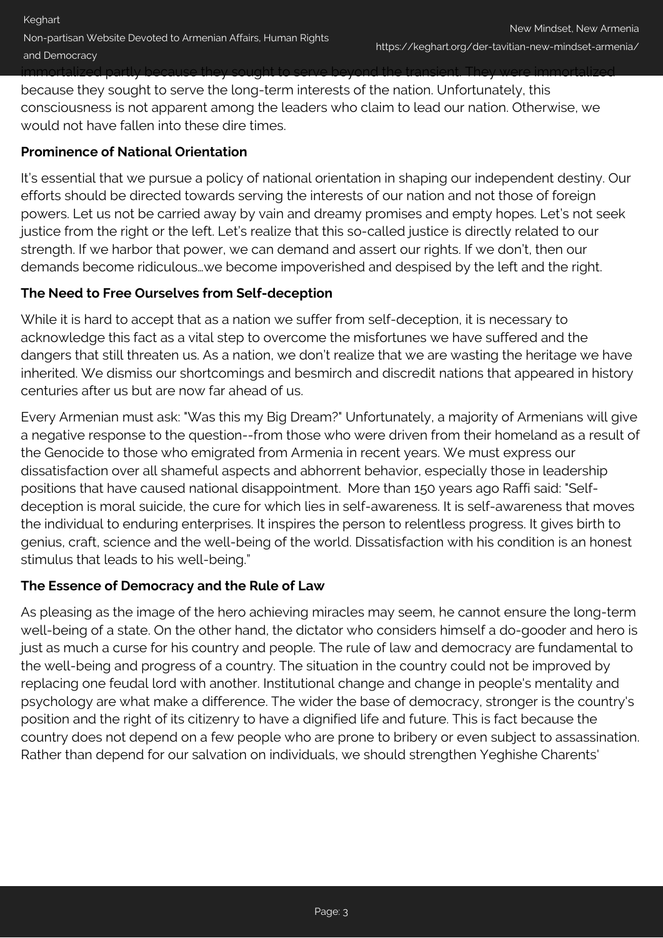immortalized partly because they sought to serve beyond the transient. They were immortalized because they sought to serve the long-term interests of the nation. Unfortunately, this consciousness is not apparent among the leaders who claim to lead our nation. Otherwise, we would not have fallen into these dire times.

#### **Prominence of National Orientation**

It's essential that we pursue a policy of national orientation in shaping our independent destiny. Our efforts should be directed towards serving the interests of our nation and not those of foreign powers. Let us not be carried away by vain and dreamy promises and empty hopes. Let's not seek justice from the right or the left. Let's realize that this so-called justice is directly related to our strength. If we harbor that power, we can demand and assert our rights. If we don't, then our demands become ridiculous…we become impoverished and despised by the left and the right.

#### **The Need to Free Ourselves from Self-deception**

While it is hard to accept that as a nation we suffer from self-deception, it is necessary to acknowledge this fact as a vital step to overcome the misfortunes we have suffered and the dangers that still threaten us. As a nation, we don't realize that we are wasting the heritage we have inherited. We dismiss our shortcomings and besmirch and discredit nations that appeared in history centuries after us but are now far ahead of us.

Every Armenian must ask: "Was this my Big Dream?" Unfortunately, a majority of Armenians will give a negative response to the question--from those who were driven from their homeland as a result of the Genocide to those who emigrated from Armenia in recent years. We must express our dissatisfaction over all shameful aspects and abhorrent behavior, especially those in leadership positions that have caused national disappointment. More than 150 years ago Raffi said: "Selfdeception is moral suicide, the cure for which lies in self-awareness. It is self-awareness that moves the individual to enduring enterprises. It inspires the person to relentless progress. It gives birth to genius, craft, science and the well-being of the world. Dissatisfaction with his condition is an honest stimulus that leads to his well-being."

#### **The Essence of Democracy and the Rule of Law**

As pleasing as the image of the hero achieving miracles may seem, he cannot ensure the long-term well-being of a state. On the other hand, the dictator who considers himself a do-gooder and hero is just as much a curse for his country and people. The rule of law and democracy are fundamental to the well-being and progress of a country. The situation in the country could not be improved by replacing one feudal lord with another. Institutional change and change in people's mentality and psychology are what make a difference. The wider the base of democracy, stronger is the country's position and the right of its citizenry to have a dignified life and future. This is fact because the country does not depend on a few people who are prone to bribery or even subject to assassination. Rather than depend for our salvation on individuals, we should strengthen Yeghishe Charents'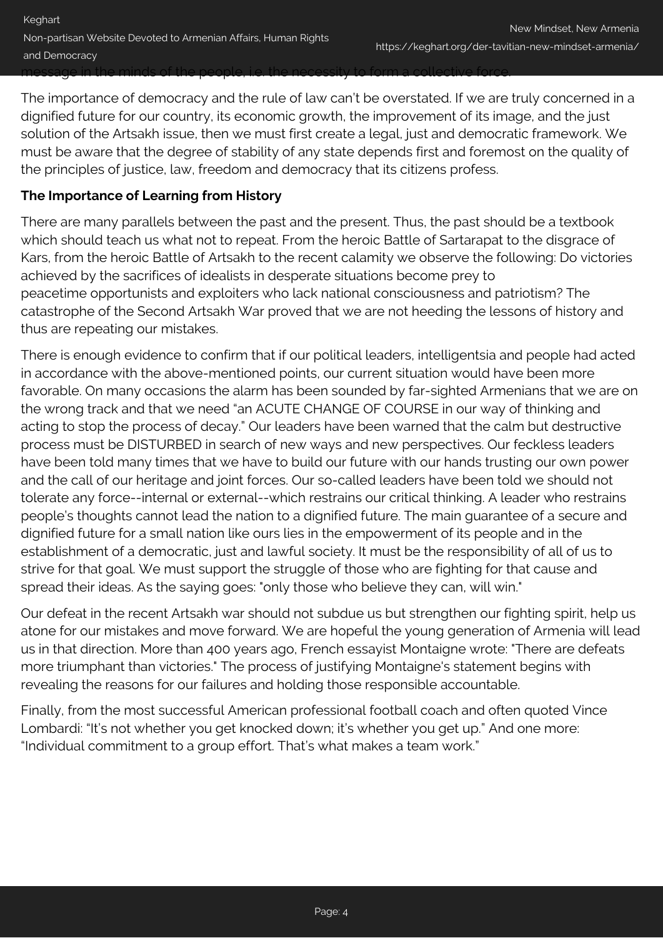The importance of democracy and the rule of law can't be overstated. If we are truly concerned in a dignified future for our country, its economic growth, the improvement of its image, and the just solution of the Artsakh issue, then we must first create a legal, just and democratic framework. We must be aware that the degree of stability of any state depends first and foremost on the quality of the principles of justice, law, freedom and democracy that its citizens profess.

#### **The Importance of Learning from History**

There are many parallels between the past and the present. Thus, the past should be a textbook which should teach us what not to repeat. From the heroic Battle of Sartarapat to the disgrace of Kars, from the heroic Battle of Artsakh to the recent calamity we observe the following: Do victories achieved by the sacrifices of idealists in desperate situations become prey to peacetime opportunists and exploiters who lack national consciousness and patriotism? The catastrophe of the Second Artsakh War proved that we are not heeding the lessons of history and thus are repeating our mistakes.

There is enough evidence to confirm that if our political leaders, intelligentsia and people had acted in accordance with the above-mentioned points, our current situation would have been more favorable. On many occasions the alarm has been sounded by far-sighted Armenians that we are on the wrong track and that we need "an ACUTE CHANGE OF COURSE in our way of thinking and acting to stop the process of decay." Our leaders have been warned that the calm but destructive process must be DISTURBED in search of new ways and new perspectives. Our feckless leaders have been told many times that we have to build our future with our hands trusting our own power and the call of our heritage and joint forces. Our so-called leaders have been told we should not tolerate any force--internal or external--which restrains our critical thinking. A leader who restrains people's thoughts cannot lead the nation to a dignified future. The main guarantee of a secure and dignified future for a small nation like ours lies in the empowerment of its people and in the establishment of a democratic, just and lawful society. It must be the responsibility of all of us to strive for that goal. We must support the struggle of those who are fighting for that cause and spread their ideas. As the saying goes: "only those who believe they can, will win."

Our defeat in the recent Artsakh war should not subdue us but strengthen our fighting spirit, help us atone for our mistakes and move forward. We are hopeful the young generation of Armenia will lead us in that direction. More than 400 years ago, French essayist Montaigne wrote: "There are defeats more triumphant than victories." The process of justifying Montaigne's statement begins with revealing the reasons for our failures and holding those responsible accountable.

Finally, from the most successful American professional football coach and often quoted Vince Lombardi: "It's not whether you get knocked down; it's whether you get up." And one more: "Individual commitment to a group effort. That's what makes a team work."